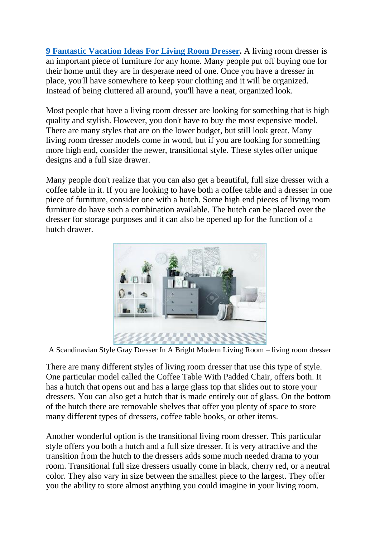**[9 Fantastic Vacation Ideas For Living Room Dresser.](https://www.painterslegend.com/2022/03/9-fantastic-vacation-ideas-for-living.html)** A living room dresser is an important piece of furniture for any home. Many people put off buying one for their home until they are in desperate need of one. Once you have a dresser in place, you'll have somewhere to keep your clothing and it will be organized. Instead of being cluttered all around, you'll have a neat, organized look.

Most people that have a living room dresser are looking for something that is high quality and stylish. However, you don't have to buy the most expensive model. There are many styles that are on the lower budget, but still look great. Many living room dresser models come in wood, but if you are looking for something more high end, consider the newer, transitional style. These styles offer unique designs and a full size drawer.

Many people don't realize that you can also get a beautiful, full size dresser with a coffee table in it. If you are looking to have both a coffee table and a dresser in one piece of furniture, consider one with a hutch. Some high end pieces of living room furniture do have such a combination available. The hutch can be placed over the dresser for storage purposes and it can also be opened up for the function of a hutch drawer.



A Scandinavian Style Gray Dresser In A Bright Modern Living Room – living room dresser

There are many different styles of living room dresser that use this type of style. One particular model called the Coffee Table With Padded Chair, offers both. It has a hutch that opens out and has a large glass top that slides out to store your dressers. You can also get a hutch that is made entirely out of glass. On the bottom of the hutch there are removable shelves that offer you plenty of space to store many different types of dressers, coffee table books, or other items.

Another wonderful option is the transitional living room dresser. This particular style offers you both a hutch and a full size dresser. It is very attractive and the transition from the hutch to the dressers adds some much needed drama to your room. Transitional full size dressers usually come in black, cherry red, or a neutral color. They also vary in size between the smallest piece to the largest. They offer you the ability to store almost anything you could imagine in your living room.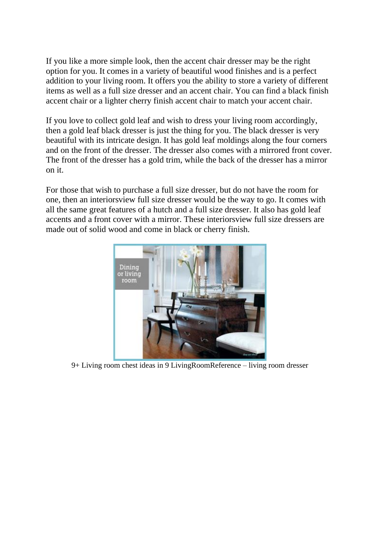If you like a more simple look, then the accent chair dresser may be the right option for you. It comes in a variety of beautiful wood finishes and is a perfect addition to your living room. It offers you the ability to store a variety of different items as well as a full size dresser and an accent chair. You can find a black finish accent chair or a lighter cherry finish accent chair to match your accent chair.

If you love to collect gold leaf and wish to dress your living room accordingly, then a gold leaf black dresser is just the thing for you. The black dresser is very beautiful with its intricate design. It has gold leaf moldings along the four corners and on the front of the dresser. The dresser also comes with a mirrored front cover. The front of the dresser has a gold trim, while the back of the dresser has a mirror on it.

For those that wish to purchase a full size dresser, but do not have the room for one, then an interiorsview full size dresser would be the way to go. It comes with all the same great features of a hutch and a full size dresser. It also has gold leaf accents and a front cover with a mirror. These interiorsview full size dressers are made out of solid wood and come in black or cherry finish.



9+ Living room chest ideas in 9 LivingRoomReference – living room dresser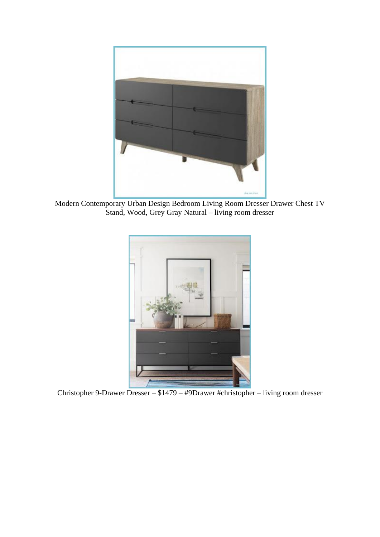

Modern Contemporary Urban Design Bedroom Living Room Dresser Drawer Chest TV Stand, Wood, Grey Gray Natural – living room dresser



Christopher 9-Drawer Dresser – \$1479 – #9Drawer #christopher – living room dresser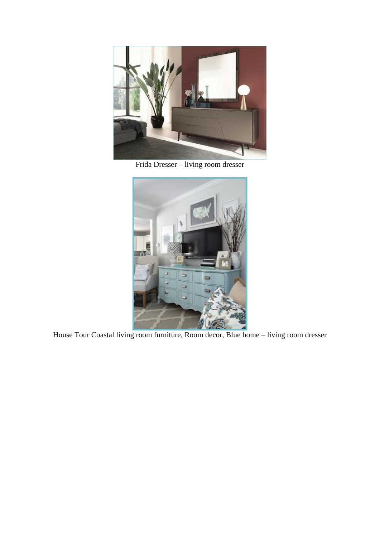

Frida Dresser – living room dresser



House Tour Coastal living room furniture, Room decor, Blue home – living room dresser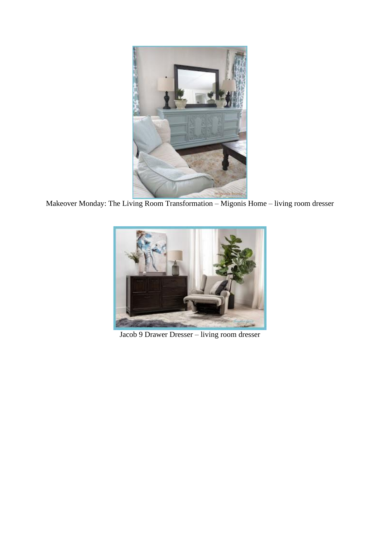

Makeover Monday: The Living Room Transformation – Migonis Home – living room dresser



Jacob 9 Drawer Dresser – living room dresser